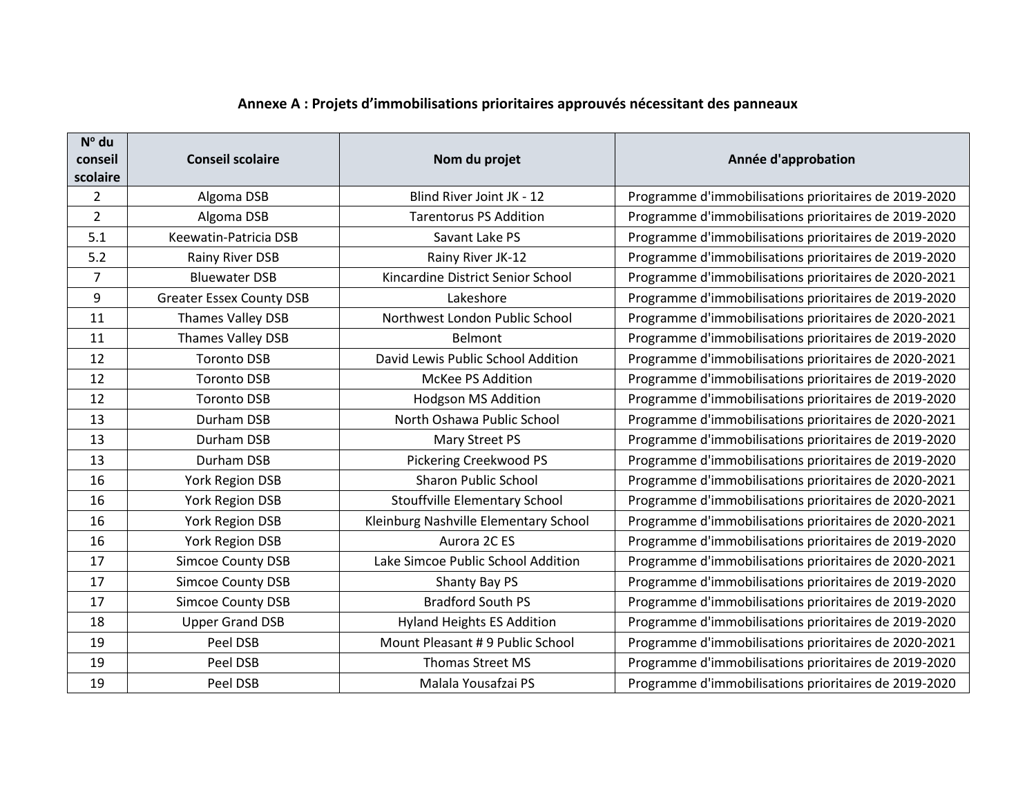## **Annexe A : Projets d'immobilisations prioritaires approuvés nécessitant des panneaux**

| $N^{\circ}$ du |                                 |                                       |                                                       |
|----------------|---------------------------------|---------------------------------------|-------------------------------------------------------|
| conseil        | <b>Conseil scolaire</b>         | Nom du projet                         | Année d'approbation                                   |
| scolaire       |                                 |                                       |                                                       |
| 2              | Algoma DSB                      | Blind River Joint JK - 12             | Programme d'immobilisations prioritaires de 2019-2020 |
| $\overline{2}$ | Algoma DSB                      | <b>Tarentorus PS Addition</b>         | Programme d'immobilisations prioritaires de 2019-2020 |
| 5.1            | Keewatin-Patricia DSB           | Savant Lake PS                        | Programme d'immobilisations prioritaires de 2019-2020 |
| 5.2            | Rainy River DSB                 | Rainy River JK-12                     | Programme d'immobilisations prioritaires de 2019-2020 |
| 7              | <b>Bluewater DSB</b>            | Kincardine District Senior School     | Programme d'immobilisations prioritaires de 2020-2021 |
| 9              | <b>Greater Essex County DSB</b> | Lakeshore                             | Programme d'immobilisations prioritaires de 2019-2020 |
| 11             | Thames Valley DSB               | Northwest London Public School        | Programme d'immobilisations prioritaires de 2020-2021 |
| 11             | Thames Valley DSB               | Belmont                               | Programme d'immobilisations prioritaires de 2019-2020 |
| 12             | <b>Toronto DSB</b>              | David Lewis Public School Addition    | Programme d'immobilisations prioritaires de 2020-2021 |
| 12             | <b>Toronto DSB</b>              | McKee PS Addition                     | Programme d'immobilisations prioritaires de 2019-2020 |
| 12             | <b>Toronto DSB</b>              | <b>Hodgson MS Addition</b>            | Programme d'immobilisations prioritaires de 2019-2020 |
| 13             | Durham DSB                      | North Oshawa Public School            | Programme d'immobilisations prioritaires de 2020-2021 |
| 13             | Durham DSB                      | Mary Street PS                        | Programme d'immobilisations prioritaires de 2019-2020 |
| 13             | Durham DSB                      | <b>Pickering Creekwood PS</b>         | Programme d'immobilisations prioritaires de 2019-2020 |
| 16             | York Region DSB                 | <b>Sharon Public School</b>           | Programme d'immobilisations prioritaires de 2020-2021 |
| 16             | York Region DSB                 | <b>Stouffville Elementary School</b>  | Programme d'immobilisations prioritaires de 2020-2021 |
| 16             | <b>York Region DSB</b>          | Kleinburg Nashville Elementary School | Programme d'immobilisations prioritaires de 2020-2021 |
| 16             | York Region DSB                 | Aurora 2C ES                          | Programme d'immobilisations prioritaires de 2019-2020 |
| 17             | <b>Simcoe County DSB</b>        | Lake Simcoe Public School Addition    | Programme d'immobilisations prioritaires de 2020-2021 |
| 17             | <b>Simcoe County DSB</b>        | Shanty Bay PS                         | Programme d'immobilisations prioritaires de 2019-2020 |
| 17             | <b>Simcoe County DSB</b>        | <b>Bradford South PS</b>              | Programme d'immobilisations prioritaires de 2019-2020 |
| 18             | <b>Upper Grand DSB</b>          | <b>Hyland Heights ES Addition</b>     | Programme d'immobilisations prioritaires de 2019-2020 |
| 19             | Peel DSB                        | Mount Pleasant #9 Public School       | Programme d'immobilisations prioritaires de 2020-2021 |
| 19             | Peel DSB                        | <b>Thomas Street MS</b>               | Programme d'immobilisations prioritaires de 2019-2020 |
| 19             | Peel DSB                        | Malala Yousafzai PS                   | Programme d'immobilisations prioritaires de 2019-2020 |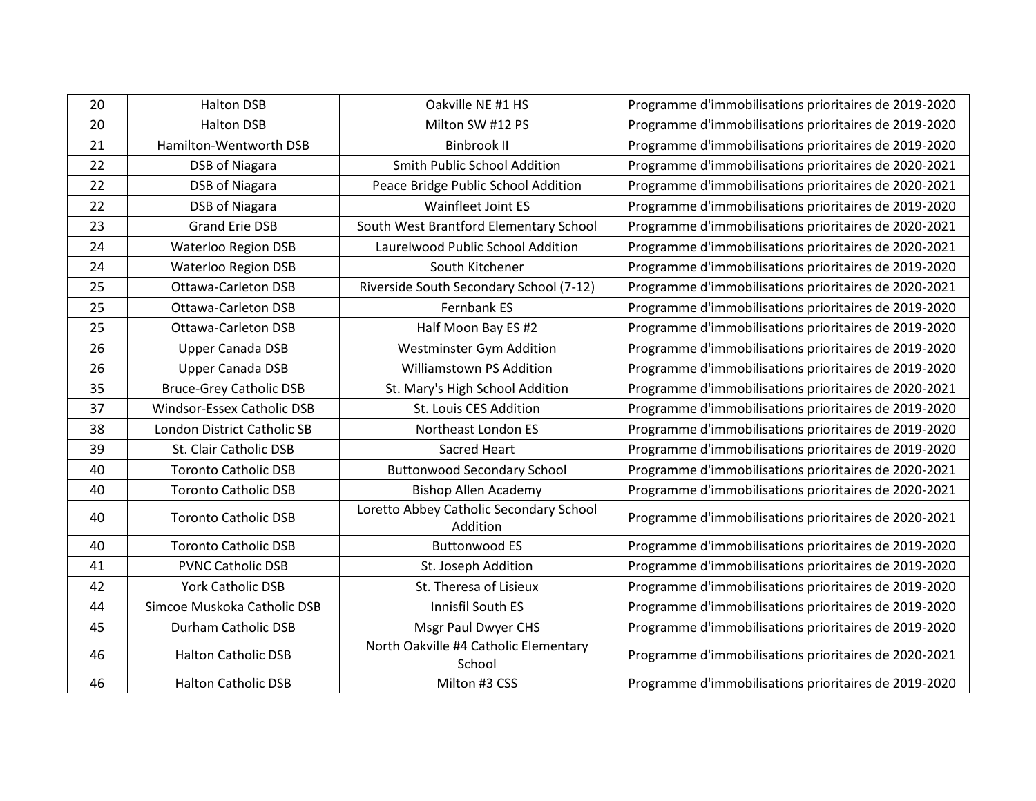| 20 | <b>Halton DSB</b>              | Oakville NE #1 HS                                   | Programme d'immobilisations prioritaires de 2019-2020 |
|----|--------------------------------|-----------------------------------------------------|-------------------------------------------------------|
|    |                                |                                                     |                                                       |
| 20 | <b>Halton DSB</b>              | Milton SW #12 PS                                    | Programme d'immobilisations prioritaires de 2019-2020 |
| 21 | Hamilton-Wentworth DSB         | <b>Binbrook II</b>                                  | Programme d'immobilisations prioritaires de 2019-2020 |
| 22 | <b>DSB of Niagara</b>          | Smith Public School Addition                        | Programme d'immobilisations prioritaires de 2020-2021 |
| 22 | <b>DSB of Niagara</b>          | Peace Bridge Public School Addition                 | Programme d'immobilisations prioritaires de 2020-2021 |
| 22 | <b>DSB of Niagara</b>          | <b>Wainfleet Joint ES</b>                           | Programme d'immobilisations prioritaires de 2019-2020 |
| 23 | <b>Grand Erie DSB</b>          | South West Brantford Elementary School              | Programme d'immobilisations prioritaires de 2020-2021 |
| 24 | <b>Waterloo Region DSB</b>     | Laurelwood Public School Addition                   | Programme d'immobilisations prioritaires de 2020-2021 |
| 24 | <b>Waterloo Region DSB</b>     | South Kitchener                                     | Programme d'immobilisations prioritaires de 2019-2020 |
| 25 | <b>Ottawa-Carleton DSB</b>     | Riverside South Secondary School (7-12)             | Programme d'immobilisations prioritaires de 2020-2021 |
| 25 | <b>Ottawa-Carleton DSB</b>     | Fernbank ES                                         | Programme d'immobilisations prioritaires de 2019-2020 |
| 25 | <b>Ottawa-Carleton DSB</b>     | Half Moon Bay ES #2                                 | Programme d'immobilisations prioritaires de 2019-2020 |
| 26 | Upper Canada DSB               | Westminster Gym Addition                            | Programme d'immobilisations prioritaires de 2019-2020 |
| 26 | Upper Canada DSB               | Williamstown PS Addition                            | Programme d'immobilisations prioritaires de 2019-2020 |
| 35 | <b>Bruce-Grey Catholic DSB</b> | St. Mary's High School Addition                     | Programme d'immobilisations prioritaires de 2020-2021 |
| 37 | Windsor-Essex Catholic DSB     | St. Louis CES Addition                              | Programme d'immobilisations prioritaires de 2019-2020 |
| 38 | London District Catholic SB    | Northeast London ES                                 | Programme d'immobilisations prioritaires de 2019-2020 |
| 39 | St. Clair Catholic DSB         | <b>Sacred Heart</b>                                 | Programme d'immobilisations prioritaires de 2019-2020 |
| 40 | <b>Toronto Catholic DSB</b>    | <b>Buttonwood Secondary School</b>                  | Programme d'immobilisations prioritaires de 2020-2021 |
| 40 | <b>Toronto Catholic DSB</b>    | <b>Bishop Allen Academy</b>                         | Programme d'immobilisations prioritaires de 2020-2021 |
| 40 | <b>Toronto Catholic DSB</b>    | Loretto Abbey Catholic Secondary School<br>Addition | Programme d'immobilisations prioritaires de 2020-2021 |
| 40 | <b>Toronto Catholic DSB</b>    | <b>Buttonwood ES</b>                                | Programme d'immobilisations prioritaires de 2019-2020 |
| 41 | <b>PVNC Catholic DSB</b>       | St. Joseph Addition                                 | Programme d'immobilisations prioritaires de 2019-2020 |
| 42 | <b>York Catholic DSB</b>       | St. Theresa of Lisieux                              | Programme d'immobilisations prioritaires de 2019-2020 |
| 44 | Simcoe Muskoka Catholic DSB    | Innisfil South ES                                   | Programme d'immobilisations prioritaires de 2019-2020 |
| 45 | Durham Catholic DSB            | Msgr Paul Dwyer CHS                                 | Programme d'immobilisations prioritaires de 2019-2020 |
| 46 | <b>Halton Catholic DSB</b>     | North Oakville #4 Catholic Elementary<br>School     | Programme d'immobilisations prioritaires de 2020-2021 |
| 46 | <b>Halton Catholic DSB</b>     | Milton #3 CSS                                       | Programme d'immobilisations prioritaires de 2019-2020 |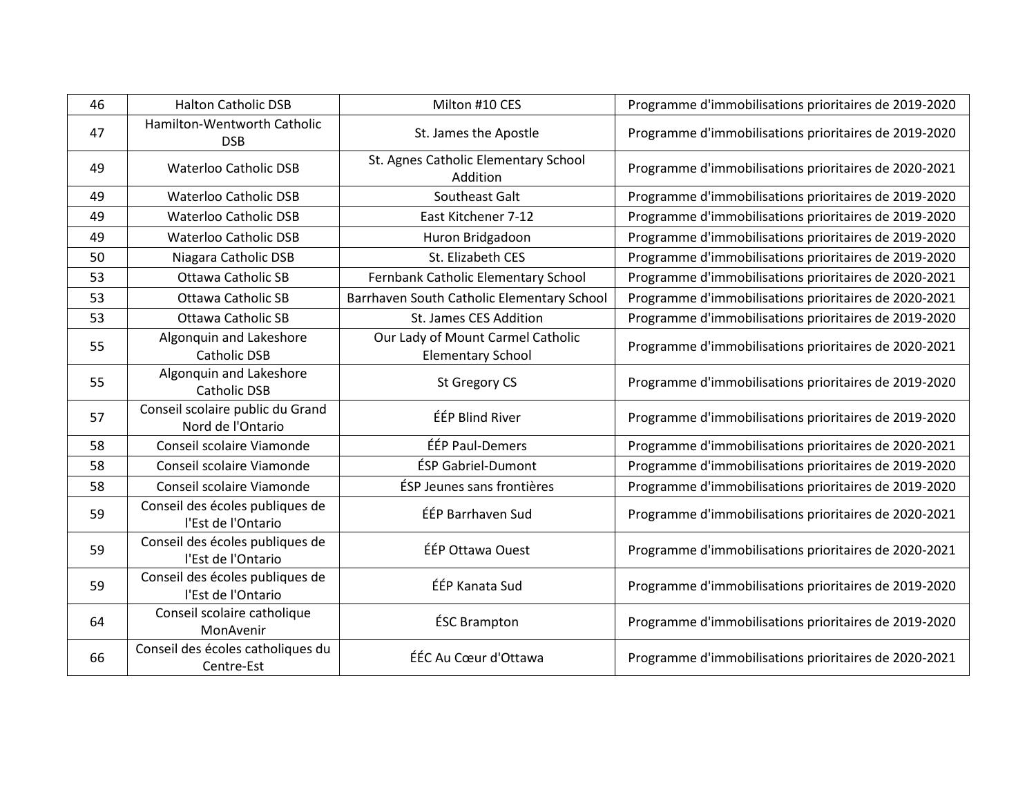| 46 | <b>Halton Catholic DSB</b>                            | Milton #10 CES                                                | Programme d'immobilisations prioritaires de 2019-2020 |
|----|-------------------------------------------------------|---------------------------------------------------------------|-------------------------------------------------------|
| 47 | Hamilton-Wentworth Catholic<br><b>DSB</b>             | St. James the Apostle                                         | Programme d'immobilisations prioritaires de 2019-2020 |
| 49 | <b>Waterloo Catholic DSB</b>                          | St. Agnes Catholic Elementary School<br>Addition              | Programme d'immobilisations prioritaires de 2020-2021 |
| 49 | <b>Waterloo Catholic DSB</b>                          | Southeast Galt                                                | Programme d'immobilisations prioritaires de 2019-2020 |
| 49 | <b>Waterloo Catholic DSB</b>                          | East Kitchener 7-12                                           | Programme d'immobilisations prioritaires de 2019-2020 |
| 49 | <b>Waterloo Catholic DSB</b>                          | Huron Bridgadoon                                              | Programme d'immobilisations prioritaires de 2019-2020 |
| 50 | Niagara Catholic DSB                                  | St. Elizabeth CES                                             | Programme d'immobilisations prioritaires de 2019-2020 |
| 53 | Ottawa Catholic SB                                    | Fernbank Catholic Elementary School                           | Programme d'immobilisations prioritaires de 2020-2021 |
| 53 | <b>Ottawa Catholic SB</b>                             | Barrhaven South Catholic Elementary School                    | Programme d'immobilisations prioritaires de 2020-2021 |
| 53 | <b>Ottawa Catholic SB</b>                             | St. James CES Addition                                        | Programme d'immobilisations prioritaires de 2019-2020 |
| 55 | Algonquin and Lakeshore<br><b>Catholic DSB</b>        | Our Lady of Mount Carmel Catholic<br><b>Elementary School</b> | Programme d'immobilisations prioritaires de 2020-2021 |
| 55 | Algonquin and Lakeshore<br><b>Catholic DSB</b>        | St Gregory CS                                                 | Programme d'immobilisations prioritaires de 2019-2020 |
| 57 | Conseil scolaire public du Grand<br>Nord de l'Ontario | ÉÉP Blind River                                               | Programme d'immobilisations prioritaires de 2019-2020 |
| 58 | Conseil scolaire Viamonde                             | ÉÉP Paul-Demers                                               | Programme d'immobilisations prioritaires de 2020-2021 |
| 58 | Conseil scolaire Viamonde                             | <b>ÉSP Gabriel-Dumont</b>                                     | Programme d'immobilisations prioritaires de 2019-2020 |
| 58 | Conseil scolaire Viamonde                             | ÉSP Jeunes sans frontières                                    | Programme d'immobilisations prioritaires de 2019-2020 |
| 59 | Conseil des écoles publiques de<br>l'Est de l'Ontario | ÉÉP Barrhaven Sud                                             | Programme d'immobilisations prioritaires de 2020-2021 |
| 59 | Conseil des écoles publiques de<br>l'Est de l'Ontario | ÉÉP Ottawa Ouest                                              | Programme d'immobilisations prioritaires de 2020-2021 |
| 59 | Conseil des écoles publiques de<br>l'Est de l'Ontario | ÉÉP Kanata Sud                                                | Programme d'immobilisations prioritaires de 2019-2020 |
| 64 | Conseil scolaire catholique<br>MonAvenir              | <b>ÉSC Brampton</b>                                           | Programme d'immobilisations prioritaires de 2019-2020 |
| 66 | Conseil des écoles catholiques du<br>Centre-Est       | ÉÉC Au Cœur d'Ottawa                                          | Programme d'immobilisations prioritaires de 2020-2021 |